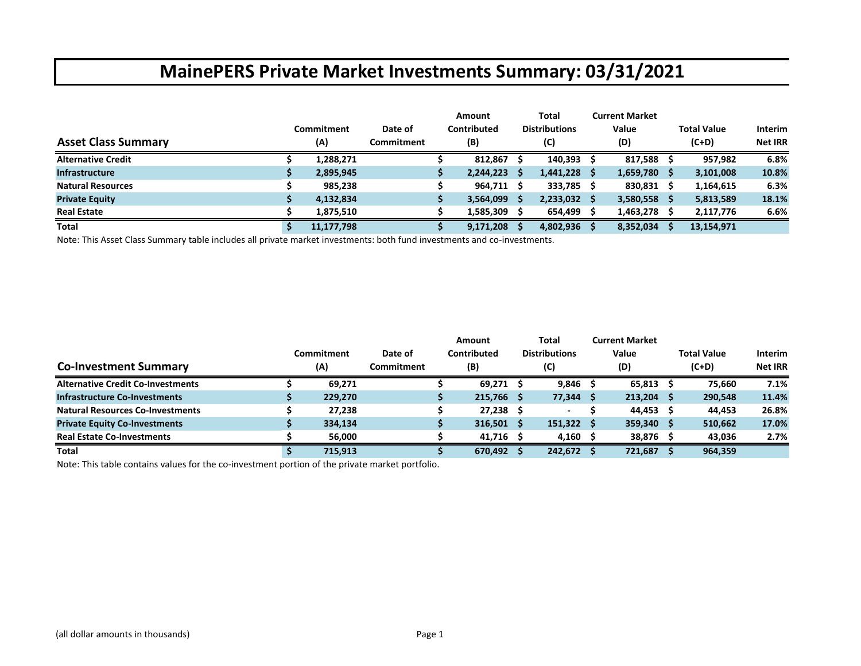|                            | Commitment | Date of           | <b>Amount</b><br>Contributed |    | Total<br><b>Distributions</b> |     | <b>Current Market</b><br>Value |     | Total Value | <b>Interim</b> |
|----------------------------|------------|-------------------|------------------------------|----|-------------------------------|-----|--------------------------------|-----|-------------|----------------|
| <b>Asset Class Summary</b> | (A)        | <b>Commitment</b> | (B)                          |    | (C)                           |     | (D)                            |     | $(C+D)$     | <b>Net IRR</b> |
| <b>Alternative Credit</b>  | 1,288,271  |                   | 812,867                      |    | 140,393                       | - S | 817,588                        |     | 957,982     | 6.8%           |
| <b>Infrastructure</b>      | 2,895,945  |                   | 2,244,223                    | .s | $1,441,228$ \$                |     | 1,659,780                      | - S | 3,101,008   | 10.8%          |
| <b>Natural Resources</b>   | 985.238    |                   | 964,711                      |    | 333,785 \$                    |     | 830,831 \$                     |     | 1,164,615   | 6.3%           |
| <b>Private Equity</b>      | 4,132,834  |                   | 3,564,099                    | s  | $2,233,032$ \$                |     | 3,580,558                      | ్స  | 5,813,589   | 18.1%          |
| <b>Real Estate</b>         | 1.875.510  |                   | 1,585,309                    |    | 654,499 \$                    |     | 1,463,278                      |     | 2,117,776   | 6.6%           |
| <b>Total</b>               | 11,177,798 |                   | 9,171,208                    |    | 4,802,936                     |     | 8,352,034                      |     | 13,154,971  |                |

Note: This Asset Class Summary table includes all private market investments: both fund investments and co‐investments.

| <b>Co-Investment Summary</b>             | Commitment<br>(A) | Date of<br>Commitment | Amount<br>Contributed<br>(B) |    | Total<br><b>Distributions</b><br>(C) | <b>Current Market</b><br>Value<br>(D) | <b>Total Value</b><br>$(C+D)$ | <b>Interim</b><br><b>Net IRR</b> |
|------------------------------------------|-------------------|-----------------------|------------------------------|----|--------------------------------------|---------------------------------------|-------------------------------|----------------------------------|
| <b>Alternative Credit Co-Investments</b> | 69.271            |                       | 69.271                       |    | $9,846$ \$                           | $65,813$ \$                           | 75.660                        | 7.1%                             |
| <b>Infrastructure Co-Investments</b>     | 229,270           |                       | 215,766                      | -S | 77,344 \$                            | $213,204$ \$                          | 290,548                       | 11.4%                            |
| <b>Natural Resources Co-Investments</b>  | 27.238            |                       | 27,238                       |    |                                      | $44,453$ \$                           | 44.453                        | 26.8%                            |
| <b>Private Equity Co-Investments</b>     | 334,134           |                       | 316,501                      |    | $151,322$ \$                         | $359,340$ \$                          | 510,662                       | 17.0%                            |
| <b>Real Estate Co-Investments</b>        | 56,000            |                       | $41,716$ \$                  |    | 4,160 $\leq$                         | 38,876                                | 43,036                        | 2.7%                             |
| Total                                    | 715,913           |                       | 670,492                      |    | 242,672 \$                           | 721,687                               | 964,359                       |                                  |

Note: This table contains values for the co‐investment portion of the private market portfolio.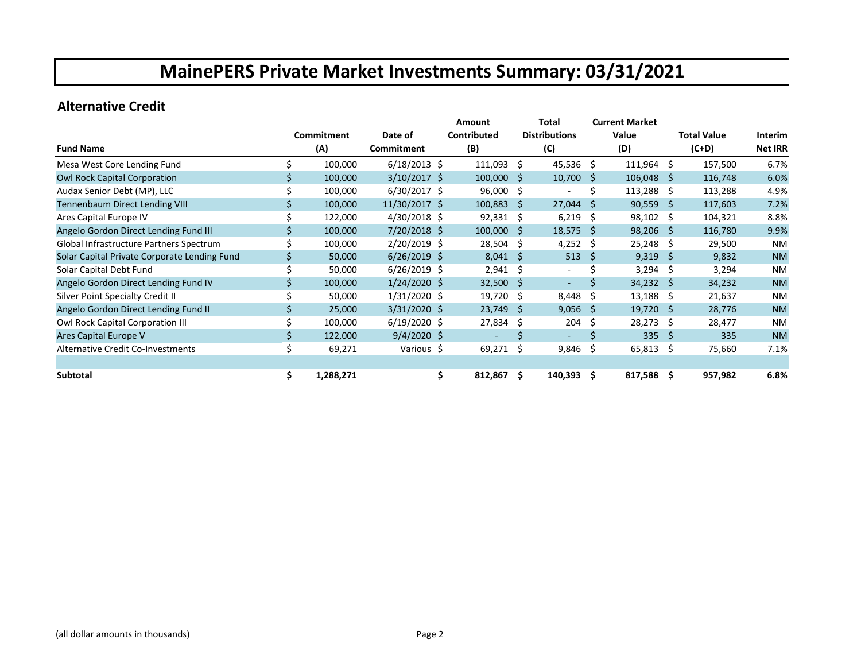### **Alternative Credit**

|                                              |     |            |                | <b>Amount</b> |         |              | Total                    |      | <b>Current Market</b> |              |                    |                |
|----------------------------------------------|-----|------------|----------------|---------------|---------|--------------|--------------------------|------|-----------------------|--------------|--------------------|----------------|
|                                              |     | Commitment | Date of        | Contributed   |         |              | <b>Distributions</b>     |      | Value                 |              | <b>Total Value</b> | Interim        |
| <b>Fund Name</b>                             |     | (A)        | Commitment     | (B)           |         |              | (C)                      |      | (D)                   |              | $(C+D)$            | <b>Net IRR</b> |
| Mesa West Core Lending Fund                  |     | 100,000    | $6/18/2013$ \$ |               | 111,093 | Ŝ.           | $45,536$ \$              |      | $111,964$ \$          |              | 157,500            | 6.7%           |
| Owl Rock Capital Corporation                 |     | 100,000    | $3/10/2017$ \$ |               | 100,000 | S            | 10,700                   | - \$ | 106,048               | Ŝ.           | 116,748            | 6.0%           |
| Audax Senior Debt (MP), LLC                  |     | 100,000    | $6/30/2017$ \$ |               | 96,000  | \$           |                          | Ś    | $113,288$ \$          |              | 113,288            | 4.9%           |
| Tennenbaum Direct Lending VIII               |     | 100,000    | 11/30/2017 \$  |               | 100,883 | Ŝ.           | $27,044$ \$              |      | $90,559$ \$           |              | 117,603            | 7.2%           |
| Ares Capital Europe IV                       |     | 122,000    | $4/30/2018$ \$ |               | 92,331  | \$           | $6,219$ \$               |      | $98,102 \div$         |              | 104,321            | 8.8%           |
| Angelo Gordon Direct Lending Fund III        |     | 100,000    | 7/20/2018 \$   |               | 100,000 | Ŝ            | $18,575$ \$              |      | 98,206                | -Ŝ           | 116,780            | 9.9%           |
| Global Infrastructure Partners Spectrum      |     | 100,000    | 2/20/2019 \$   |               | 28,504  | Ŝ.           | 4,252 \$                 |      | 25,248                | Ŝ.           | 29,500             | NM             |
| Solar Capital Private Corporate Lending Fund |     | 50,000     | $6/26/2019$ \$ |               | 8,041   | <sub>S</sub> | 513                      | -Ŝ   | 9,319                 | - \$         | 9,832              | <b>NM</b>      |
| Solar Capital Debt Fund                      |     | 50,000     | $6/26/2019$ \$ |               | 2,941   | Ŝ.           | $\overline{\phantom{a}}$ | Ś    | 3,294                 | Ŝ.           | 3,294              | <b>NM</b>      |
| Angelo Gordon Direct Lending Fund IV         |     | 100,000    | $1/24/2020$ \$ |               | 32,500  | <sub>S</sub> | ۰                        | Ś    | 34,232                | <sub>S</sub> | 34,232             | <b>NM</b>      |
| Silver Point Specialty Credit II             |     | 50,000     | $1/31/2020$ \$ |               | 19,720  | Ŝ.           | 8,448                    | - \$ | $13,188$ \$           |              | 21,637             | <b>NM</b>      |
| Angelo Gordon Direct Lending Fund II         |     | 25,000     | $3/31/2020$ \$ |               | 23,749  | S            | 9,056                    | -\$  | 19,720                | Ŝ.           | 28,776             | <b>NM</b>      |
| Owl Rock Capital Corporation III             |     | 100,000    | $6/19/2020$ \$ |               | 27,834  | \$           | 204                      | -\$  | 28,273                | Ŝ.           | 28,477             | NM             |
| Ares Capital Europe V                        |     | 122,000    | $9/4/2020$ \$  |               |         |              | ۰                        | Š.   | 335                   | Ŝ.           | 335                | <b>NM</b>      |
| Alternative Credit Co-Investments            | \$  | 69,271     | Various \$     |               | 69,271  | \$           | 9,846                    | -\$  | 65,813                | -S           | 75,660             | 7.1%           |
|                                              |     |            |                |               |         |              |                          |      |                       |              |                    |                |
| Subtotal                                     | \$. | 1,288,271  |                | \$.           | 812,867 | \$.          | $140,393 \quad $$        |      | $817,588$ \$          |              | 957,982            | 6.8%           |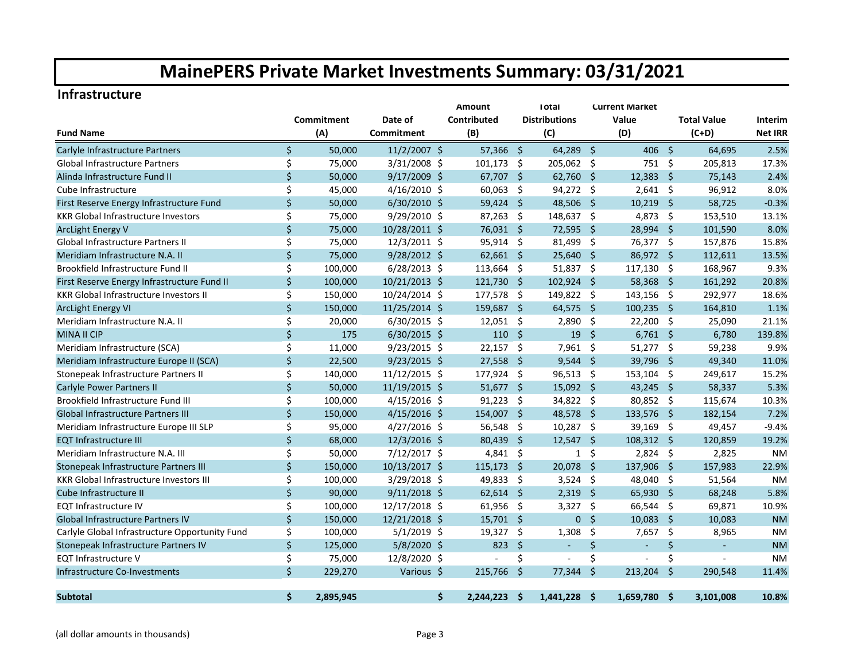#### **Infrastructure**

|                                                |         |            |                | Amount               |                     | <b>Total</b>         |                     | <b>Current Market</b>    |                     |                    |                |
|------------------------------------------------|---------|------------|----------------|----------------------|---------------------|----------------------|---------------------|--------------------------|---------------------|--------------------|----------------|
|                                                |         | Commitment | Date of        | Contributed          |                     | <b>Distributions</b> |                     | Value                    |                     | <b>Total Value</b> | <b>Interim</b> |
| <b>Fund Name</b>                               |         | (A)        | Commitment     | (B)                  |                     | (C)                  |                     | (D)                      |                     | $(C+D)$            | <b>Net IRR</b> |
| Carlyle Infrastructure Partners                | Ś.      | 50,000     | $11/2/2007$ \$ | 57,366               | -Ś                  | 64,289 \$            |                     | 406                      | $\mathsf{S}$        | 64,695             | 2.5%           |
| <b>Global Infrastructure Partners</b>          | \$      | 75,000     | 3/31/2008 \$   | 101,173              | - \$                | 205,062 \$           |                     | $751 \;$ \$              |                     | 205,813            | 17.3%          |
| Alinda Infrastructure Fund II                  | \$      | 50,000     | $9/17/2009$ \$ | 67,707               | $\ddot{\mathsf{s}}$ | $62,760$ \$          |                     | 12,383                   | - \$                | 75,143             | 2.4%           |
| Cube Infrastructure                            | \$      | 45,000     | $4/16/2010$ \$ | 60,063               | -\$                 | 94,272 \$            |                     | $2,641$ \$               |                     | 96,912             | 8.0%           |
| First Reserve Energy Infrastructure Fund       | \$      | 50,000     | $6/30/2010$ \$ | 59,424               | -Ś                  | 48,506               | - \$                | 10,219                   | -Ś                  | 58,725             | $-0.3%$        |
| <b>KKR Global Infrastructure Investors</b>     | \$      | 75,000     | 9/29/2010 \$   | 87,263               | -\$                 | 148,637 \$           |                     | 4,873                    | -\$                 | 153,510            | 13.1%          |
| <b>ArcLight Energy V</b>                       | $\zeta$ | 75,000     | 10/28/2011 \$  | 76,031 \$            |                     | 72,595               | $\ddot{\mathsf{s}}$ | 28,994                   | -\$                 | 101,590            | 8.0%           |
| <b>Global Infrastructure Partners II</b>       | \$      | 75,000     | 12/3/2011 \$   | 95,914               | -\$                 | 81,499               | - \$                | 76,377                   | - \$                | 157,876            | 15.8%          |
| Meridiam Infrastructure N.A. II                | \$      | 75,000     | 9/28/2012 \$   | $62,661$ \$          |                     | 25,640               | $\ddot{\mathsf{s}}$ | 86,972                   | $\ddot{\mathsf{s}}$ | 112,611            | 13.5%          |
| Brookfield Infrastructure Fund II              | \$      | 100,000    | $6/28/2013$ \$ | 113,664              | Ŝ.                  | $51,837$ \$          |                     | 117,130                  | -\$                 | 168,967            | 9.3%           |
| First Reserve Energy Infrastructure Fund II    | $\zeta$ | 100,000    | 10/21/2013 \$  | 121,730              | -Ś                  | $102,924$ \$         |                     | 58,368 \$                |                     | 161,292            | 20.8%          |
| <b>KKR Global Infrastructure Investors II</b>  | \$      | 150,000    | 10/24/2014 \$  | 177,578              | - \$                | 149,822 \$           |                     | 143,156 \$               |                     | 292,977            | 18.6%          |
| <b>ArcLight Energy VI</b>                      | \$      | 150,000    | 11/25/2014 \$  | 159,687 \$           |                     | $64,575$ \$          |                     | $100,235$ \$             |                     | 164,810            | 1.1%           |
| Meridiam Infrastructure N.A. II                | \$      | 20,000     | 6/30/2015 \$   | $12,051$ \$          |                     | $2,890$ \$           |                     | 22,200 \$                |                     | 25,090             | 21.1%          |
| <b>MINA II CIP</b>                             | $\zeta$ | 175        | $6/30/2015$ \$ |                      | $110 \div$          | $19 \quad $$         |                     | $6,761$ \$               |                     | 6,780              | 139.8%         |
| Meridiam Infrastructure (SCA)                  | \$      | 11,000     | 9/23/2015 \$   | 22,157               | -\$                 | $7,961$ \$           |                     | $51,277$ \$              |                     | 59,238             | 9.9%           |
| Meridiam Infrastructure Europe II (SCA)        | \$      | 22,500     | $9/23/2015$ \$ | 27,558               | -Ś                  | 9,544                | - \$                | 39,796                   | -Ś                  | 49,340             | 11.0%          |
| Stonepeak Infrastructure Partners II           | \$      | 140,000    | 11/12/2015 \$  | 177,924              | -\$                 | 96,513 \$            |                     | 153,104                  | -\$                 | 249,617            | 15.2%          |
| Carlyle Power Partners II                      | \$      | 50,000     | 11/19/2015 \$  | 51,677               | -\$                 | 15,092               | - \$                | 43,245                   | -Ś                  | 58,337             | 5.3%           |
| Brookfield Infrastructure Fund III             | \$      | 100,000    | 4/15/2016 \$   | 91,223               | \$                  | 34,822 \$            |                     | 80,852                   | -\$                 | 115,674            | 10.3%          |
| Global Infrastructure Partners III             | $\zeta$ | 150,000    | $4/15/2016$ \$ | 154,007              | -\$                 | 48,578               | - \$                | 133,576 \$               |                     | 182,154            | 7.2%           |
| Meridiam Infrastructure Europe III SLP         | \$      | 95,000     | $4/27/2016$ \$ | 56,548               | \$                  | 10,287 \$            |                     | 39,169                   | -\$                 | 49,457             | $-9.4%$        |
| <b>EQT Infrastructure III</b>                  | \$      | 68,000     | 12/3/2016 \$   | 80,439               | $\zeta$             | $12,547$ \$          |                     | 108,312 \$               |                     | 120,859            | 19.2%          |
| Meridiam Infrastructure N.A. III               | \$      | 50,000     | 7/12/2017 \$   | 4,841                | -\$                 | $\mathbf{1}$         | \$                  | $2,824$ \$               |                     | 2,825              | <b>NM</b>      |
| Stonepeak Infrastructure Partners III          | \$      | 150,000    | 10/13/2017 \$  | 115,173              | - \$                | 20,078 \$            |                     | 137,906 \$               |                     | 157,983            | 22.9%          |
| <b>KKR Global Infrastructure Investors III</b> | \$      | 100,000    | $3/29/2018$ \$ | 49,833               | -\$                 | $3,524$ \$           |                     | 48,040 \$                |                     | 51,564             | <b>NM</b>      |
| Cube Infrastructure II                         | \$      | 90.000     | $9/11/2018$ \$ | $62,614$ \$          |                     | $2,319$ \$           |                     | 65,930 \$                |                     | 68,248             | 5.8%           |
| <b>EQT Infrastructure IV</b>                   | \$      | 100,000    | 12/17/2018 \$  | 61,956               | - \$                | $3,327$ \$           |                     | 66,544 \$                |                     | 69,871             | 10.9%          |
| <b>Global Infrastructure Partners IV</b>       | \$      | 150,000    | 12/21/2018 \$  | $15,701$ \$          |                     | $\mathbf{0}$         | $\ddot{\mathsf{s}}$ | 10,083                   | -Ś                  | 10,083             | <b>NM</b>      |
| Carlyle Global Infrastructure Opportunity Fund | \$      | 100,000    | $5/1/2019$ \$  | 19,327               | -\$                 | 1,308                | \$                  | 7,657                    | -\$                 | 8,965              | <b>NM</b>      |
| Stonepeak Infrastructure Partners IV           | \$      | 125,000    | $5/8/2020$ \$  | 823                  | <sub>S</sub>        | $\blacksquare$       | \$                  | $\omega$                 | \$                  | $\omega$           | <b>NM</b>      |
| <b>EQT Infrastructure V</b>                    | \$      | 75,000     | 12/8/2020 \$   | $\sim$               | \$                  | $\blacksquare$       | \$                  | $\overline{\phantom{a}}$ | \$                  |                    | <b>NM</b>      |
| Infrastructure Co-Investments                  | \$      | 229,270    | Various \$     | 215,766              | -Ś                  | 77,344               | Ŝ.                  | 213,204                  | Ŝ.                  | 290.548            | 11.4%          |
| <b>Subtotal</b>                                | Ś.      | 2,895,945  |                | Ŝ.<br>$2,244,223$ \$ |                     | $1,441,228$ \$       |                     | 1,659,780 \$             |                     | 3,101,008          | 10.8%          |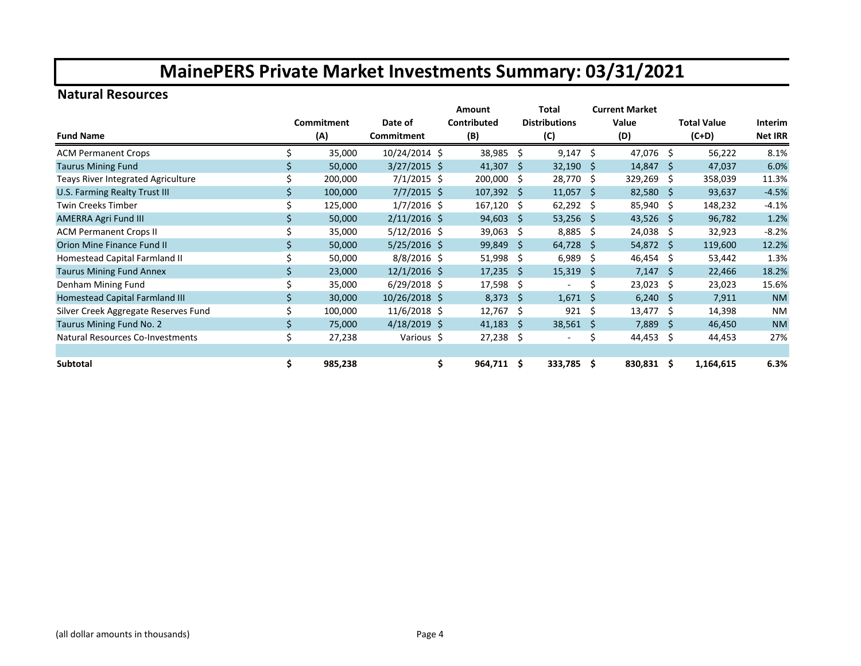### **Natural Resources**

|                                           |    |            |                | Amount        |     | Total                    |       | <b>Current Market</b> |                    |           |                |
|-------------------------------------------|----|------------|----------------|---------------|-----|--------------------------|-------|-----------------------|--------------------|-----------|----------------|
|                                           |    | Commitment | Date of        | Contributed   |     | <b>Distributions</b>     | Value |                       | <b>Total Value</b> |           | Interim        |
| <b>Fund Name</b>                          |    | (A)        | Commitment     | (B)           |     | (C)                      |       | (D)                   |                    | $(C+D)$   | <b>Net IRR</b> |
| <b>ACM Permanent Crops</b>                |    | 35,000     | 10/24/2014 \$  | 38,985        | Ŝ.  | $9,147$ \$               |       | 47,076 \$             |                    | 56,222    | 8.1%           |
| <b>Taurus Mining Fund</b>                 |    | 50,000     | 3/27/2015 \$   | 41,307        | Ŝ.  | $32,190$ \$              |       | $14,847$ \$           |                    | 47,037    | 6.0%           |
| <b>Teays River Integrated Agriculture</b> |    | 200,000    | $7/1/2015$ \$  | 200,000       | Ŝ.  | 28,770 \$                |       | 329,269 \$            |                    | 358,039   | 11.3%          |
| U.S. Farming Realty Trust III             |    | 100,000    | $7/7/2015$ \$  | 107,392       | -S  | $11,057$ \$              |       | $82,580$ \$           |                    | 93,637    | $-4.5%$        |
| <b>Twin Creeks Timber</b>                 |    | 125,000    | $1/7/2016$ \$  | 167,120       | Ŝ.  | 62,292 \$                |       | 85,940 \$             |                    | 148,232   | $-4.1%$        |
| <b>AMERRA Agri Fund III</b>               |    | 50,000     | $2/11/2016$ \$ | 94,603        | Ŝ.  | $53,256$ \$              |       | 43,526 \$             |                    | 96,782    | 1.2%           |
| <b>ACM Permanent Crops II</b>             |    | 35,000     | $5/12/2016$ \$ | 39,063        | \$. | $8,885$ \$               |       | $24,038$ \$           |                    | 32,923    | $-8.2%$        |
| Orion Mine Finance Fund II                |    | 50,000     | $5/25/2016$ \$ | 99,849        | Ŝ.  | $64,728$ \$              |       | $54,872$ \$           |                    | 119,600   | 12.2%          |
| Homestead Capital Farmland II             |    | 50,000     | $8/8/2016$ \$  | 51,998        | \$. | 6,989                    | - \$  | 46,454                | -\$                | 53,442    | 1.3%           |
| <b>Taurus Mining Fund Annex</b>           |    | 23,000     | $12/1/2016$ \$ | 17,235        | Ŝ   | $15,319$ \$              |       | 7,147                 | -Ŝ                 | 22,466    | 18.2%          |
| Denham Mining Fund                        |    | 35,000     | $6/29/2018$ \$ | 17,598        | \$. | $\overline{\phantom{a}}$ | Ś     | $23,023$ \$           |                    | 23,023    | 15.6%          |
| Homestead Capital Farmland III            |    | 30,000     | 10/26/2018 \$  | 8,373         | Ŝ.  | $1,671$ \$               |       | $6,240$ \$            |                    | 7,911     | <b>NM</b>      |
| Silver Creek Aggregate Reserves Fund      |    | 100,000    | $11/6/2018$ \$ | 12,767        | \$  | 921                      | - \$  | $13,477$ \$           |                    | 14,398    | <b>NM</b>      |
| Taurus Mining Fund No. 2                  |    | 75,000     | $4/18/2019$ \$ | 41,183        | Ŝ.  | 38,561 \$                |       | $7,889$ \$            |                    | 46,450    | <b>NM</b>      |
| Natural Resources Co-Investments          | \$ | 27,238     | Various \$     | 27,238        | \$  |                          | Ś     | 44,453                | -\$                | 44,453    | 27%            |
|                                           |    |            |                |               |     |                          |       |                       |                    |           |                |
| Subtotal                                  | \$ | 985,238    |                | \$<br>964,711 | \$  | 333,785 \$               |       | 830,831 \$            |                    | 1,164,615 | 6.3%           |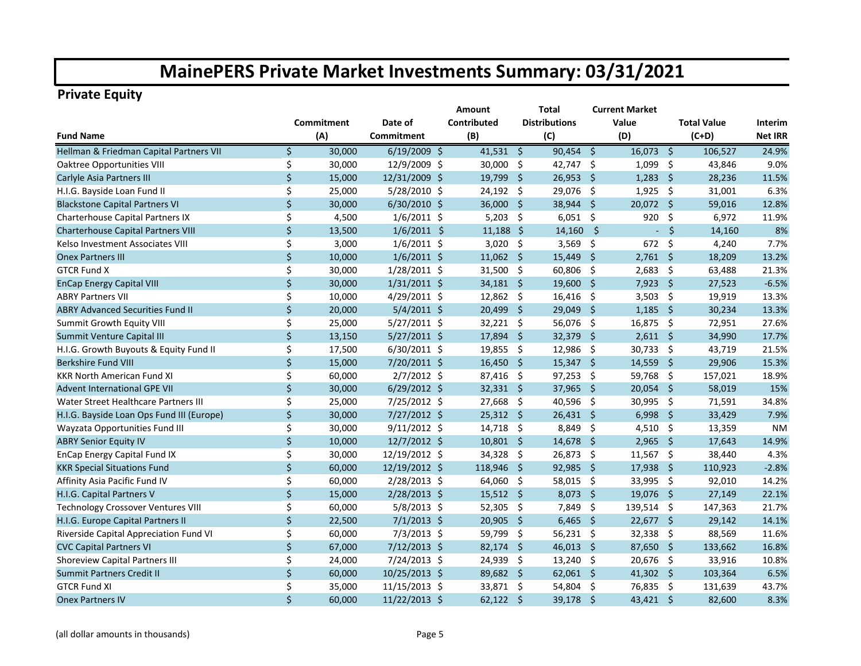### **Private Equity**

|                                           |         |            |                | Amount      | <b>Current Market</b><br>Total |                      |                     |             |      |                    |                |  |
|-------------------------------------------|---------|------------|----------------|-------------|--------------------------------|----------------------|---------------------|-------------|------|--------------------|----------------|--|
|                                           |         | Commitment | Date of        | Contributed |                                | <b>Distributions</b> |                     | Value       |      | <b>Total Value</b> | Interim        |  |
| <b>Fund Name</b>                          |         | (A)        | Commitment     | (B)         |                                | (C)                  |                     | (D)         |      | $(C+D)$            | <b>Net IRR</b> |  |
| Hellman & Friedman Capital Partners VII   | Ś.      | 30,000     | $6/19/2009$ \$ | $41,531$ \$ |                                | $90,454$ \$          |                     | $16,073$ \$ |      | 106.527            | 24.9%          |  |
| <b>Oaktree Opportunities VIII</b>         | \$      | 30,000     | 12/9/2009 \$   | 30,000      | -\$                            | 42,747 \$            |                     | $1,099$ \$  |      | 43,846             | 9.0%           |  |
| Carlyle Asia Partners III                 | \$      | 15,000     | 12/31/2009 \$  | 19,799      | -\$                            | $26,953$ \$          |                     | $1,283$ \$  |      | 28,236             | 11.5%          |  |
| H.I.G. Bayside Loan Fund II               | \$      | 25,000     | 5/28/2010 \$   | 24,192      | $\ddot{\mathsf{S}}$            | 29,076 \$            |                     | $1,925$ \$  |      | 31,001             | 6.3%           |  |
| <b>Blackstone Capital Partners VI</b>     | \$      | 30,000     | $6/30/2010$ \$ | 36,000      | $\ddot{\mathsf{S}}$            | 38,944 \$            |                     | 20,072 \$   |      | 59,016             | 12.8%          |  |
| Charterhouse Capital Partners IX          | \$      | 4,500      | $1/6/2011$ \$  | 5,203       | -\$                            | $6,051$ \$           |                     | 920         | -\$  | 6,972              | 11.9%          |  |
| <b>Charterhouse Capital Partners VIII</b> | \$      | 13,500     | $1/6/2011$ \$  | $11,188$ \$ |                                | $14,160$ \$          |                     |             | $-5$ | 14,160             | 8%             |  |
| Kelso Investment Associates VIII          | \$      | 3,000      | $1/6/2011$ \$  | $3,020$ \$  |                                | 3,569 \$             |                     | 672         | -\$  | 4,240              | 7.7%           |  |
| <b>Onex Partners III</b>                  | \$      | 10,000     | $1/6/2011$ \$  | $11,062$ \$ |                                | $15,449$ \$          |                     | $2,761$ \$  |      | 18,209             | 13.2%          |  |
| <b>GTCR Fund X</b>                        | \$      | 30,000     | 1/28/2011 \$   | 31,500 \$   |                                | 60,806 \$            |                     | $2,683$ \$  |      | 63,488             | 21.3%          |  |
| <b>EnCap Energy Capital VIII</b>          | \$      | 30,000     | $1/31/2011$ \$ | $34,181$ \$ |                                | 19,600 \$            |                     | $7,923$ \$  |      | 27,523             | $-6.5%$        |  |
| <b>ABRY Partners VII</b>                  | \$      | 10,000     | $4/29/2011$ \$ | $12,862$ \$ |                                | $16,416$ \$          |                     | $3,503$ \$  |      | 19,919             | 13.3%          |  |
| <b>ABRY Advanced Securities Fund II</b>   | $\zeta$ | 20,000     | $5/4/2011$ \$  | 20,499      | - \$                           | 29,049 \$            |                     | $1,185$ \$  |      | 30,234             | 13.3%          |  |
| Summit Growth Equity VIII                 | \$      | 25,000     | $5/27/2011$ \$ | 32,221 \$   |                                | 56,076 \$            |                     | 16,875 \$   |      | 72,951             | 27.6%          |  |
| Summit Venture Capital III                | \$      | 13,150     | $5/27/2011$ \$ | 17,894      | -\$                            | 32,379 \$            |                     | $2,611$ \$  |      | 34,990             | 17.7%          |  |
| H.I.G. Growth Buyouts & Equity Fund II    | \$      | 17,500     | $6/30/2011$ \$ | 19,855      | -\$                            | 12,986               | - \$                | 30,733 \$   |      | 43,719             | 21.5%          |  |
| <b>Berkshire Fund VIII</b>                | $\zeta$ | 15,000     | 7/20/2011 \$   | 16,450      | -Ś                             | $15,347$ \$          |                     | 14,559 \$   |      | 29,906             | 15.3%          |  |
| <b>KKR North American Fund XI</b>         | \$      | 60,000     | 2/7/2012 \$    | 87,416      | -\$                            | $97,253$ \$          |                     | 59,768 \$   |      | 157,021            | 18.9%          |  |
| <b>Advent International GPE VII</b>       | $\zeta$ | 30,000     | 6/29/2012 \$   | 32,331 \$   |                                | 37,965               | $\ddot{\mathsf{s}}$ | $20,054$ \$ |      | 58,019             | 15%            |  |
| Water Street Healthcare Partners III      | Ś.      | 25,000     | 7/25/2012 \$   | 27,668      | -\$                            | 40,596               | - \$                | 30,995 \$   |      | 71,591             | 34.8%          |  |
| H.I.G. Bayside Loan Ops Fund III (Europe) | \$      | 30,000     | 7/27/2012 \$   | $25,312$ \$ |                                | $26,431$ \$          |                     | $6,998$ \$  |      | 33,429             | 7.9%           |  |
| Wayzata Opportunities Fund III            | \$      | 30,000     | $9/11/2012$ \$ | 14,718      | -\$                            | 8,849 \$             |                     | $4,510$ \$  |      | 13,359             | <b>NM</b>      |  |
| <b>ABRY Senior Equity IV</b>              | \$      | 10,000     | 12/7/2012 \$   | $10,801$ \$ |                                | 14,678 \$            |                     | $2,965$ \$  |      | 17,643             | 14.9%          |  |
| EnCap Energy Capital Fund IX              | \$      | 30,000     | 12/19/2012 \$  | 34,328      | -\$                            | 26,873 \$            |                     | 11,567 \$   |      | 38,440             | 4.3%           |  |
| <b>KKR Special Situations Fund</b>        | $\zeta$ | 60,000     | 12/19/2012 \$  | 118,946     | $\ddot{\mathsf{s}}$            | 92,985 \$            |                     | 17,938 \$   |      | 110,923            | $-2.8%$        |  |
| Affinity Asia Pacific Fund IV             | \$      | 60,000     | 2/28/2013 \$   | 64,060      | -\$                            | 58,015               | - \$                | 33,995 \$   |      | 92,010             | 14.2%          |  |
| H.I.G. Capital Partners V                 | \$      | 15,000     | 2/28/2013 \$   | $15,512$ \$ |                                | $8,073$ \$           |                     | 19,076 \$   |      | 27,149             | 22.1%          |  |
| <b>Technology Crossover Ventures VIII</b> | \$      | 60,000     | $5/8/2013$ \$  | 52,305      | -\$                            | 7,849 \$             |                     | 139,514 \$  |      | 147,363            | 21.7%          |  |
| H.I.G. Europe Capital Partners II         | \$      | 22,500     | $7/1/2013$ \$  | 20,905 \$   |                                | $6,465$ \$           |                     | 22,677 \$   |      | 29,142             | 14.1%          |  |
| Riverside Capital Appreciation Fund VI    | \$      | 60,000     | $7/3/2013$ \$  | 59,799      | -\$                            | $56,231$ \$          |                     | 32,338 \$   |      | 88,569             | 11.6%          |  |
| <b>CVC Capital Partners VI</b>            | \$      | 67,000     | 7/12/2013 \$   | 82,174      | - \$                           | $46,013$ \$          |                     | 87,650 \$   |      | 133,662            | 16.8%          |  |
| <b>Shoreview Capital Partners III</b>     | \$      | 24,000     | 7/24/2013 \$   | 24,939      | -\$                            | $13,240$ \$          |                     | 20,676 \$   |      | 33,916             | 10.8%          |  |
| Summit Partners Credit II                 | \$      | 60,000     | 10/25/2013 \$  | 89,682 \$   |                                | $62,061$ \$          |                     | 41,302 \$   |      | 103,364            | 6.5%           |  |
| <b>GTCR Fund XI</b>                       | \$      | 35,000     | 11/15/2013 \$  | 33,871 \$   |                                | 54,804               | $\ddot{\mathsf{s}}$ | 76,835 \$   |      | 131,639            | 43.7%          |  |
| <b>Onex Partners IV</b>                   | \$      | 60,000     | 11/22/2013 \$  | $62,122$ \$ |                                | 39,178               | - \$                | 43,421 \$   |      | 82,600             | 8.3%           |  |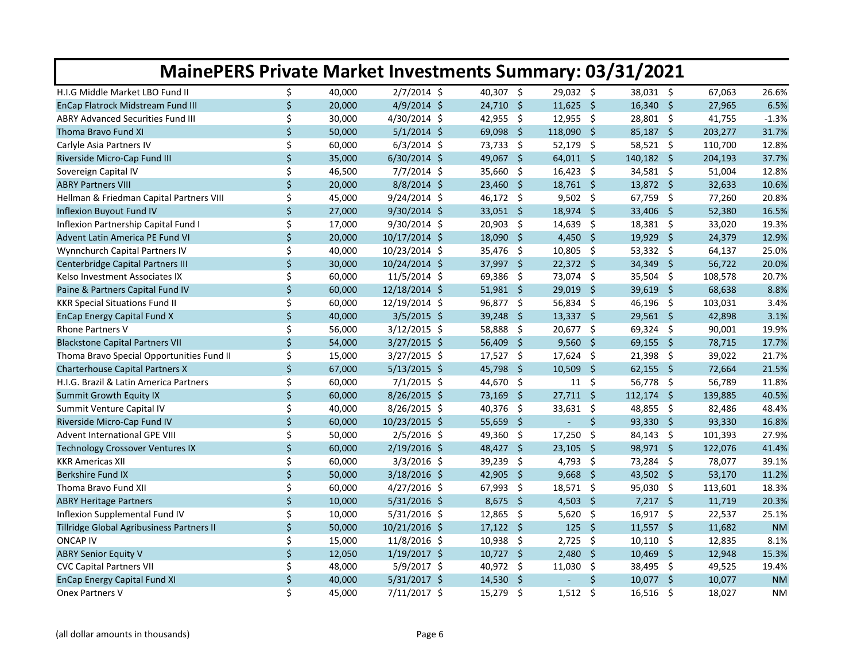| <b>MainePERS Private Market Investments Summary: 03/31/2021</b> |              |        |                |             |                     |               |    |                               |         |           |
|-----------------------------------------------------------------|--------------|--------|----------------|-------------|---------------------|---------------|----|-------------------------------|---------|-----------|
| H.I.G Middle Market LBO Fund II                                 | \$           | 40,000 | $2/7/2014$ \$  | 40,307 \$   |                     | 29,032 \$     |    | 38,031 \$                     | 67,063  | 26.6%     |
| EnCap Flatrock Midstream Fund III                               | $\mathsf{S}$ | 20,000 | $4/9/2014$ \$  | 24,710 \$   |                     | $11,625$ \$   |    | $16,340 \div$                 | 27,965  | 6.5%      |
| <b>ABRY Advanced Securities Fund III</b>                        | \$           | 30,000 | 4/30/2014 \$   | 42,955 \$   |                     | $12,955$ \$   |    | 28,801 \$                     | 41,755  | $-1.3%$   |
| Thoma Bravo Fund XI                                             | \$           | 50,000 | $5/1/2014$ \$  | 69,098      | Ŝ.                  | 118,090 \$    |    | $85,187$ \$                   | 203,277 | 31.7%     |
| Carlyle Asia Partners IV                                        | \$           | 60,000 | $6/3/2014$ \$  | 73,733 \$   |                     | 52,179 \$     |    | 58,521 \$                     | 110,700 | 12.8%     |
| Riverside Micro-Cap Fund III                                    | \$           | 35,000 | $6/30/2014$ \$ | 49,067      | - \$                | $64,011$ \$   |    | 140,182 \$                    | 204,193 | 37.7%     |
| Sovereign Capital IV                                            | \$           | 46,500 | $7/7/2014$ \$  | 35,660      | - \$                | $16,423$ \$   |    | 34,581 \$                     | 51,004  | 12.8%     |
| <b>ABRY Partners VIII</b>                                       | $\mathsf{S}$ | 20,000 | $8/8/2014$ \$  | $23,460$ \$ |                     | 18,761 \$     |    | 13,872 \$                     | 32,633  | 10.6%     |
| Hellman & Friedman Capital Partners VIII                        | \$           | 45,000 | $9/24/2014$ \$ | 46,172 \$   |                     | $9,502$ \$    |    | 67,759 \$                     | 77,260  | 20.8%     |
| Inflexion Buyout Fund IV                                        | $\mathsf{S}$ | 27,000 | 9/30/2014 \$   | $33,051$ \$ |                     | 18,974 \$     |    | 33,406 \$                     | 52,380  | 16.5%     |
| Inflexion Partnership Capital Fund I                            | \$           | 17,000 | 9/30/2014 \$   | 20,903 \$   |                     | 14,639 \$     |    | 18,381 \$                     | 33,020  | 19.3%     |
| Advent Latin America PE Fund VI                                 | \$           | 20,000 | 10/17/2014 \$  | 18,090      | - \$                | 4,450 \$      |    | 19,929 \$                     | 24,379  | 12.9%     |
| Wynnchurch Capital Partners IV                                  | \$           | 40,000 | 10/23/2014 \$  | 35,476      | $\ddot{\mathsf{s}}$ | 10,805 \$     |    | $53,332$ \$                   | 64,137  | 25.0%     |
| Centerbridge Capital Partners III                               | \$           | 30,000 | 10/24/2014 \$  | 37,997 \$   |                     | $22,372$ \$   |    | 34,349 \$                     | 56,722  | 20.0%     |
| Kelso Investment Associates IX                                  | \$           | 60,000 | $11/5/2014$ \$ | 69,386 \$   |                     | 73,074 \$     |    | 35,504 \$                     | 108,578 | 20.7%     |
| Paine & Partners Capital Fund IV                                | $\mathsf{S}$ | 60,000 | 12/18/2014 \$  | $51,981$ \$ |                     | 29,019 \$     |    | 39,619 \$                     | 68,638  | 8.8%      |
| <b>KKR Special Situations Fund II</b>                           | \$           | 60,000 | 12/19/2014 \$  | $96,877$ \$ |                     | $56,834$ \$   |    | $\ddot{\mathsf{s}}$<br>46,196 | 103,031 | 3.4%      |
| EnCap Energy Capital Fund X                                     | \$           | 40,000 | $3/5/2015$ \$  | 39,248      | $\mathsf{\hat{S}}$  | $13,337$ \$   |    | 29,561 \$                     | 42,898  | 3.1%      |
| Rhone Partners V                                                | \$           | 56,000 | $3/12/2015$ \$ | 58,888      | - \$                | 20,677 \$     |    | $69,324$ \$                   | 90,001  | 19.9%     |
| <b>Blackstone Capital Partners VII</b>                          | \$           | 54,000 | $3/27/2015$ \$ | 56,409      | - \$                | $9,560$ \$    |    | $69,155$ \$                   | 78,715  | 17.7%     |
| Thoma Bravo Special Opportunities Fund II                       | \$           | 15,000 | $3/27/2015$ \$ | $17,527$ \$ |                     | $17,624$ \$   |    | 21,398 \$                     | 39,022  | 21.7%     |
| <b>Charterhouse Capital Partners X</b>                          | $\mathsf{S}$ | 67,000 | $5/13/2015$ \$ | 45,798 \$   |                     | $10,509$ \$   |    | $62,155$ \$                   | 72,664  | 21.5%     |
| H.I.G. Brazil & Latin America Partners                          | \$           | 60,000 | $7/1/2015$ \$  | 44,670 \$   |                     | $11 \quad$ \$ |    | 56,778 \$                     | 56,789  | 11.8%     |
| Summit Growth Equity IX                                         | \$           | 60,000 | 8/26/2015 \$   | 73,169      | - \$                | $27,711$ \$   |    | $112,174$ \$                  | 139,885 | 40.5%     |
| Summit Venture Capital IV                                       | \$           | 40,000 | 8/26/2015 \$   | 40,376      | $\ddot{\mathsf{s}}$ | 33,631 \$     |    | 48,855 \$                     | 82,486  | 48.4%     |
| Riverside Micro-Cap Fund IV                                     | \$           | 60,000 | 10/23/2015 \$  | 55,659      | - \$                |               | \$ | 93,330 \$                     | 93,330  | 16.8%     |
| <b>Advent International GPE VIII</b>                            | \$           | 50,000 | $2/5/2016$ \$  | 49,360      | - \$                | 17,250        | \$ | 84,143 \$                     | 101,393 | 27.9%     |
| Technology Crossover Ventures IX                                | \$           | 60,000 | $2/19/2016$ \$ | 48,427 \$   |                     | $23,105$ \$   |    | 98,971 \$                     | 122,076 | 41.4%     |
| <b>KKR Americas XII</b>                                         | \$           | 60,000 | $3/3/2016$ \$  | 39,239      | $\ddot{\mathsf{s}}$ | $4,793$ \$    |    | 73,284 \$                     | 78,077  | 39.1%     |
| Berkshire Fund IX                                               | $\zeta$      | 50,000 | $3/18/2016$ \$ | 42,905      | - \$                | $9,668$ \$    |    | 43,502 \$                     | 53,170  | 11.2%     |
| Thoma Bravo Fund XII                                            | \$           | 60,000 | $4/27/2016$ \$ | $67,993$ \$ |                     | 18,571 \$     |    | 95,030 \$                     | 113,601 | 18.3%     |
| <b>ABRY Heritage Partners</b>                                   | \$           | 10,000 | $5/31/2016$ \$ | $8,675$ \$  |                     | 4,503 \$      |    | $7,217$ \$                    | 11,719  | 20.3%     |
| Inflexion Supplemental Fund IV                                  | \$           | 10,000 | $5/31/2016$ \$ | 12,865      | $\ddot{\mathsf{s}}$ | $5,620$ \$    |    | 16,917 \$                     | 22,537  | 25.1%     |
| Tillridge Global Agribusiness Partners II                       | \$           | 50,000 | 10/21/2016 \$  | $17,122$ \$ |                     | $125$ \$      |    | $11,557$ \$                   | 11,682  | <b>NM</b> |
| <b>ONCAP IV</b>                                                 | \$           | 15,000 | 11/8/2016 \$   | 10,938      | - \$                | $2,725$ \$    |    | $10,110$ \$                   | 12,835  | 8.1%      |
| <b>ABRY Senior Equity V</b>                                     | $\mathsf{S}$ | 12,050 | $1/19/2017$ \$ | $10,727$ \$ |                     | $2,480$ \$    |    | $10,469$ \$                   | 12,948  | 15.3%     |
| <b>CVC Capital Partners VII</b>                                 | \$           | 48,000 | 5/9/2017 \$    | 40,972 \$   |                     | $11,030$ \$   |    | 38,495 \$                     | 49,525  | 19.4%     |
| <b>EnCap Energy Capital Fund XI</b>                             | \$           | 40,000 | $5/31/2017$ \$ | 14,530      | \$                  |               | \$ | $10,077$ \$                   | 10,077  | <b>NM</b> |
| Onex Partners V                                                 | \$           | 45,000 | $7/11/2017$ \$ | 15,279      | \$                  | 1,512         | Ŝ. | 16,516<br>-Ś                  | 18,027  | <b>NM</b> |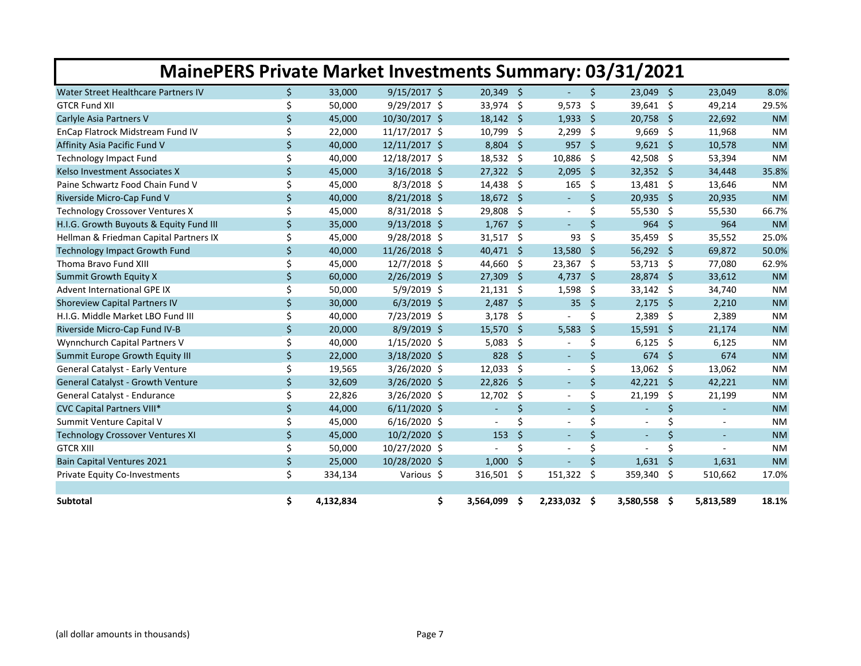| <b>MainePERS Private Market Investments Summary: 03/31/2021</b> |                    |           |                |                |      |                          |      |                          |          |                          |           |  |
|-----------------------------------------------------------------|--------------------|-----------|----------------|----------------|------|--------------------------|------|--------------------------|----------|--------------------------|-----------|--|
| Water Street Healthcare Partners IV                             | \$.                | 33,000    | $9/15/2017$ \$ | $20,349$ \$    |      |                          | Ŝ.   | 23,049 \$                |          | 23,049                   | 8.0%      |  |
| <b>GTCR Fund XII</b>                                            | \$                 | 50,000    | 9/29/2017 \$   | 33,974         | -\$  | 9,573                    | Ŝ.   | 39,641 \$                |          | 49,214                   | 29.5%     |  |
| Carlyle Asia Partners V                                         | \$                 | 45,000    | 10/30/2017 \$  | $18,142$ \$    |      | 1,933                    | - \$ | $20,758$ \$              |          | 22,692                   | <b>NM</b> |  |
| EnCap Flatrock Midstream Fund IV                                | Ś.                 | 22,000    | 11/17/2017 \$  | 10,799         | -\$  | 2,299                    | \$   | $9,669$ \$               |          | 11,968                   | <b>NM</b> |  |
| Affinity Asia Pacific Fund V                                    | $\zeta$            | 40,000    | 12/11/2017 \$  | $8,804$ \$     |      | $957$ \$                 |      | $9,621$ \$               |          | 10,578                   | <b>NM</b> |  |
| <b>Technology Impact Fund</b>                                   | \$                 | 40,000    | 12/18/2017 \$  | $18,532$ \$    |      | 10,886                   | - \$ | 42,508 \$                |          | 53,394                   | <b>NM</b> |  |
| Kelso Investment Associates X                                   | \$                 | 45,000    | $3/16/2018$ \$ | 27,322         | - \$ | 2,095                    | -\$  | $32,352$ \$              |          | 34,448                   | 35.8%     |  |
| Paine Schwartz Food Chain Fund V                                | \$                 | 45,000    | $8/3/2018$ \$  | 14,438         | -\$  | 165                      | \$   | 13,481 \$                |          | 13,646                   | <b>NM</b> |  |
| Riverside Micro-Cap Fund V                                      | \$                 | 40,000    | 8/21/2018 \$   | 18,672 \$      |      |                          | Ś.   | $20,935$ \$              |          | 20,935                   | <b>NM</b> |  |
| Technology Crossover Ventures X                                 | \$                 | 45,000    | 8/31/2018 \$   | 29,808         | - \$ | $\sim$                   | Ś.   | 55,530 \$                |          | 55,530                   | 66.7%     |  |
| H.I.G. Growth Buyouts & Equity Fund III                         | \$                 | 35,000    | $9/13/2018$ \$ | $1,767$ \$     |      | $\sim$                   | Ś    | 964                      | - \$     | 964                      | <b>NM</b> |  |
| Hellman & Friedman Capital Partners IX                          | \$                 | 45,000    | 9/28/2018 \$   | 31,517         | -\$  | 93                       | \$   | 35,459 \$                |          | 35,552                   | 25.0%     |  |
| <b>Technology Impact Growth Fund</b>                            | \$                 | 40,000    | 11/26/2018 \$  | 40,471 \$      |      | 13,580                   | -\$  | 56,292 \$                |          | 69,872                   | 50.0%     |  |
| Thoma Bravo Fund XIII                                           | Ś.                 | 45,000    | 12/7/2018 \$   | 44,660         | -\$  | 23,367                   | -\$  | 53,713                   | - \$     | 77,080                   | 62.9%     |  |
| <b>Summit Growth Equity X</b>                                   | \$                 | 60,000    | 2/26/2019 \$   | 27,309         | '\$  | $4,737$ \$               |      | 28,874                   | - \$     | 33,612                   | <b>NM</b> |  |
| <b>Advent International GPE IX</b>                              | \$                 | 50,000    | 5/9/2019 \$    | $21,131$ \$    |      | 1,598                    | Ŝ.   | $33,142$ \$              |          | 34,740                   | <b>NM</b> |  |
| <b>Shoreview Capital Partners IV</b>                            | \$                 | 30,000    | $6/3/2019$ \$  | 2,487          | -\$  | $35 \quad $5$            |      | $2,175$ \$               |          | 2,210                    | <b>NM</b> |  |
| H.I.G. Middle Market LBO Fund III                               | \$                 | 40,000    | 7/23/2019 \$   | 3,178          | -\$  |                          | \$   | 2,389                    | - \$     | 2,389                    | <b>NM</b> |  |
| Riverside Micro-Cap Fund IV-B                                   | \$                 | 20,000    | $8/9/2019$ \$  | 15,570         | -Ś   | 5,583                    | Ŝ.   | $15,591$ \$              |          | 21,174                   | <b>NM</b> |  |
| Wynnchurch Capital Partners V                                   | \$                 | 40,000    | 1/15/2020 \$   | 5,083          | \$   |                          | \$   | 6,125                    | - \$     | 6,125                    | <b>NM</b> |  |
| <b>Summit Europe Growth Equity III</b>                          | $\mathsf{\dot{S}}$ | 22,000    | 3/18/2020 \$   | 828            | Ś.   | $\overline{\phantom{a}}$ | Ś.   | 674                      | <b>S</b> | 674                      | <b>NM</b> |  |
| General Catalyst - Early Venture                                | \$                 | 19,565    | 3/26/2020 \$   | 12,033         | -\$  | $\sim$                   | \$   | $13,062$ \$              |          | 13,062                   | <b>NM</b> |  |
| General Catalyst - Growth Venture                               | \$                 | 32,609    | 3/26/2020 \$   | 22,826         | Ŝ.   |                          | Ś.   | $42,221$ \$              |          | 42,221                   | <b>NM</b> |  |
| General Catalyst - Endurance                                    | \$                 | 22,826    | 3/26/2020 \$   | 12,702         | \$   |                          | \$   | 21,199                   | Ŝ.       | 21,199                   | <b>NM</b> |  |
| <b>CVC Capital Partners VIII*</b>                               | \$                 | 44,000    | $6/11/2020$ \$ | $\omega$       | \$   | $\sim$                   | \$   | $\blacksquare$           | \$       | ÷.                       | <b>NM</b> |  |
| Summit Venture Capital V                                        | Ś.                 | 45,000    | $6/16/2020$ \$ | $\sim$         | \$   | $\overline{\phantom{a}}$ | Ś    | $\overline{\phantom{a}}$ | \$       |                          | <b>NM</b> |  |
| <b>Technology Crossover Ventures XI</b>                         | $\zeta$            | 45,000    | 10/2/2020 \$   | 153            | Ś.   | $\sim$                   | \$   | $\overline{\phantom{a}}$ | \$       | $\overline{\phantom{a}}$ | <b>NM</b> |  |
| <b>GTCR XIII</b>                                                | \$                 | 50,000    | 10/27/2020 \$  | $\blacksquare$ | Ś    |                          | \$   | L,                       | Ś.       | ÷,                       | <b>NM</b> |  |
| <b>Bain Capital Ventures 2021</b>                               | $\zeta$            | 25,000    | 10/28/2020 \$  | 1.000          | Ś.   |                          | Ś.   | 1.631                    | Ŝ.       | 1.631                    | <b>NM</b> |  |
| Private Equity Co-Investments                                   | \$                 | 334,134   | Various \$     | 316,501 \$     |      | 151,322                  | Ŝ.   | 359,340 \$               |          | 510,662                  | 17.0%     |  |
|                                                                 |                    |           |                |                |      |                          |      |                          |          |                          |           |  |
| Subtotal                                                        | \$                 | 4,132,834 | \$             | 3,564,099      | .\$  | 2,233,032 \$             |      | 3,580,558 \$             |          | 5,813,589                | 18.1%     |  |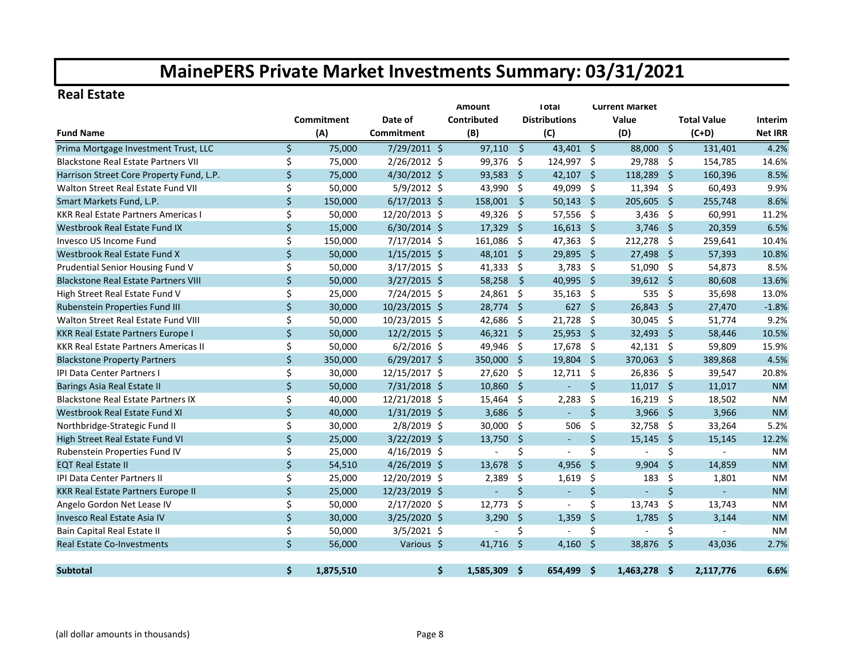#### **Real Estate**

|                                             |         |            |                   | <b>Amount</b><br><b>Total</b><br><b>Current Market</b> |                    |                      |                     |              |      |                    |                |  |  |  |
|---------------------------------------------|---------|------------|-------------------|--------------------------------------------------------|--------------------|----------------------|---------------------|--------------|------|--------------------|----------------|--|--|--|
|                                             |         | Commitment | Date of           | Contributed                                            |                    | <b>Distributions</b> |                     | Value        |      | <b>Total Value</b> | Interim        |  |  |  |
| <b>Fund Name</b>                            |         | (A)        | <b>Commitment</b> | (B)                                                    |                    | (C)                  |                     | (D)          |      | $(C+D)$            | <b>Net IRR</b> |  |  |  |
| Prima Mortgage Investment Trust, LLC        | \$      | 75,000     | 7/29/2011 \$      | 97,110                                                 | $\mathsf{\hat{S}}$ | 43,401 \$            |                     | 88,000 \$    |      | 131,401            | 4.2%           |  |  |  |
| <b>Blackstone Real Estate Partners VII</b>  | \$      | 75,000     | 2/26/2012 \$      | 99,376                                                 | -\$                | 124,997 \$           |                     | 29,788 \$    |      | 154,785            | 14.6%          |  |  |  |
| Harrison Street Core Property Fund, L.P.    | Ś.      | 75,000     | 4/30/2012 \$      | 93,583                                                 | S.                 | $42,107$ \$          |                     | 118,289 \$   |      | 160,396            | 8.5%           |  |  |  |
| Walton Street Real Estate Fund VII          | \$      | 50,000     | $5/9/2012$ \$     | 43,990                                                 | -\$                | 49,099 \$            |                     | $11,394$ \$  |      | 60,493             | 9.9%           |  |  |  |
| Smart Markets Fund, L.P.                    | \$      | 150,000    | $6/17/2013$ \$    | 158,001                                                | -Ŝ                 | $50,143$ \$          |                     | 205,605 \$   |      | 255,748            | 8.6%           |  |  |  |
| <b>KKR Real Estate Partners Americas I</b>  | \$      | 50,000     | 12/20/2013 \$     | 49,326                                                 | -\$                | $57,556$ \$          |                     | $3,436$ \$   |      | 60,991             | 11.2%          |  |  |  |
| Westbrook Real Estate Fund IX               | $\zeta$ | 15,000     | $6/30/2014$ \$    | 17,329                                                 | - \$               | $16,613$ \$          |                     | $3,746$ \$   |      | 20,359             | 6.5%           |  |  |  |
| Invesco US Income Fund                      | \$      | 150,000    | 7/17/2014 \$      | 161,086                                                | -\$                | $47,363$ \$          |                     | $212,278$ \$ |      | 259,641            | 10.4%          |  |  |  |
| Westbrook Real Estate Fund X                | \$      | 50,000     | $1/15/2015$ \$    | 48,101 \$                                              |                    | 29,895               | - \$                | 27,498       | - \$ | 57,393             | 10.8%          |  |  |  |
| Prudential Senior Housing Fund V            | \$      | 50,000     | $3/17/2015$ \$    | 41,333                                                 | -\$                | 3,783                | - \$                | $51,090$ \$  |      | 54,873             | 8.5%           |  |  |  |
| <b>Blackstone Real Estate Partners VIII</b> | \$      | 50,000     | $3/27/2015$ \$    | 58,258                                                 | $\mathsf{\hat{S}}$ | 40,995               | - \$                | 39,612 \$    |      | 80,608             | 13.6%          |  |  |  |
| High Street Real Estate Fund V              | \$      | 25,000     | 7/24/2015 \$      | 24,861 \$                                              |                    | $35,163$ \$          |                     | 535          | -\$  | 35,698             | 13.0%          |  |  |  |
| Rubenstein Properties Fund III              | $\zeta$ | 30,000     | 10/23/2015 \$     | 28,774 \$                                              |                    | $627$ \$             |                     | 26,843 \$    |      | 27,470             | $-1.8%$        |  |  |  |
| Walton Street Real Estate Fund VIII         | \$      | 50,000     | 10/23/2015 \$     | 42,686                                                 | \$                 | 21,728               | \$                  | $30,045$ \$  |      | 51,774             | 9.2%           |  |  |  |
| KKR Real Estate Partners Europe I           | \$      | 50,000     | $12/2/2015$ \$    | 46,321 \$                                              |                    | 25,953               | Ŝ.                  | 32,493 \$    |      | 58,446             | 10.5%          |  |  |  |
| <b>KKR Real Estate Partners Americas II</b> | \$      | 50,000     | $6/2/2016$ \$     | 49,946                                                 | -\$                | 17,678 \$            |                     | $42,131$ \$  |      | 59,809             | 15.9%          |  |  |  |
| <b>Blackstone Property Partners</b>         | \$      | 350,000    | $6/29/2017$ \$    | 350,000                                                | - Ś                | 19,804 \$            |                     | 370,063 \$   |      | 389,868            | 4.5%           |  |  |  |
| <b>IPI Data Center Partners I</b>           | \$      | 30,000     | 12/15/2017 \$     | 27,620                                                 | -Ś                 | $12,711$ \$          |                     | 26,836 \$    |      | 39,547             | 20.8%          |  |  |  |
| Barings Asia Real Estate II                 | $\zeta$ | 50,000     | $7/31/2018$ \$    | 10,860                                                 | - \$               | $\blacksquare$       | \$                  | $11,017$ \$  |      | 11,017             | <b>NM</b>      |  |  |  |
| <b>Blackstone Real Estate Partners IX</b>   | \$      | 40,000     | 12/21/2018 \$     | 15,464                                                 | -\$                | 2,283                | \$                  | 16,219       | -\$  | 18,502             | <b>NM</b>      |  |  |  |
| <b>Westbrook Real Estate Fund XI</b>        | $\zeta$ | 40,000     | $1/31/2019$ \$    | 3,686                                                  | - \$               | $\blacksquare$       | $\zeta$             | 3,966 \$     |      | 3,966              | <b>NM</b>      |  |  |  |
| Northbridge-Strategic Fund II               | \$      | 30,000     | $2/8/2019$ \$     | 30,000                                                 | -\$                | 506                  | \$                  | 32,758       | -\$  | 33,264             | 5.2%           |  |  |  |
| High Street Real Estate Fund VI             | \$      | 25,000     | $3/22/2019$ \$    | 13,750                                                 | \$                 | $\blacksquare$       | $\zeta$             | 15,145       | -\$  | 15,145             | 12.2%          |  |  |  |
| Rubenstein Properties Fund IV               | \$      | 25,000     | 4/16/2019 \$      | ÷,                                                     | \$                 |                      | \$                  |              | \$   | $\mathbf{r}$       | <b>NM</b>      |  |  |  |
| <b>EQT Real Estate II</b>                   | $\zeta$ | 54,510     | 4/26/2019 \$      | 13,678                                                 | $\zeta$            | 4,956                | $\ddot{\mathsf{S}}$ | $9,904$ \$   |      | 14,859             | <b>NM</b>      |  |  |  |
| IPI Data Center Partners II                 | \$      | 25,000     | 12/20/2019 \$     | 2,389                                                  | \$                 | 1,619                | \$                  | 183          | \$   | 1,801              | <b>NM</b>      |  |  |  |
| <b>KKR Real Estate Partners Europe II</b>   | \$      | 25,000     | 12/23/2019 \$     | $\blacksquare$                                         | \$                 |                      | \$                  |              | \$   | $\mathbf{r}$       | <b>NM</b>      |  |  |  |
| Angelo Gordon Net Lease IV                  | \$      | 50,000     | $2/17/2020$ \$    | 12,773                                                 | -\$                |                      | \$                  | 13,743       | - \$ | 13,743             | <b>NM</b>      |  |  |  |
| Invesco Real Estate Asia IV                 | \$      | 30,000     | 3/25/2020 \$      | 3,290                                                  | '\$                | 1,359                | $\zeta$             | 1,785        | -\$  | 3,144              | <b>NM</b>      |  |  |  |
| Bain Capital Real Estate II                 | \$      | 50,000     | $3/5/2021$ \$     |                                                        | Ś                  |                      | \$                  | ÷,           | \$   |                    | <b>NM</b>      |  |  |  |
| <b>Real Estate Co-Investments</b>           | $\zeta$ | 56,000     | Various \$        | $41,716$ \$                                            |                    | 4,160                | \$                  | 38,876       | -\$  | 43,036             | 2.7%           |  |  |  |
|                                             |         |            |                   |                                                        |                    |                      |                     |              |      |                    |                |  |  |  |
| <b>Subtotal</b>                             | Ś.      | 1,875,510  |                   | \$<br>1,585,309                                        | -Ś                 | 654,499 \$           |                     | 1,463,278 \$ |      | 2,117,776          | 6.6%           |  |  |  |